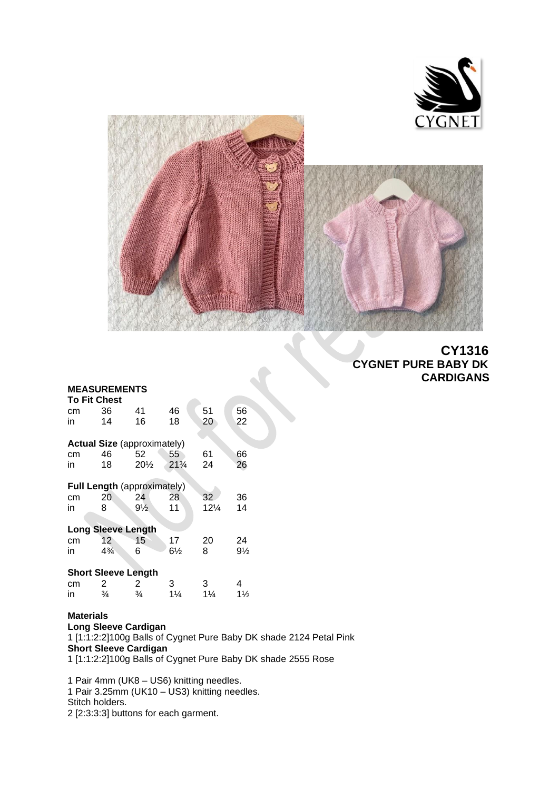



# **CY1316 CYGNET PURE BABY DK CARDIGANS**

# **MEASUREMENTS To Fit Chest** cm 36 41 46 51 56 in 14 16 18 20 22 **Actual Size** (approximately)<br>cm 46 52 55 cm 46 52 55 61 66 in 18 20½ 21¾ 24 26 **Full Length** (approximately) cm 20 24 28 32 36 in 8 9½ 11 12¼ 14 **Long Sleeve Length**<br>cm 12 15 cm 12 15 17 20 24 in  $4\frac{3}{4}$  6 6<sup>1</sup>/<sub>2</sub> 8 9<sup>1</sup>/<sub>2</sub> **Short Sleeve Length**<br>cm 2 2 cm 2 2 3 3 4 in  $\frac{3}{4}$   $\frac{3}{4}$  11/<sub>4</sub> 11/<sub>4</sub> 11/<sub>2</sub>

## **Materials**

**Long Sleeve Cardigan** 1 [1:1:2:2]100g Balls of Cygnet Pure Baby DK shade 2124 Petal Pink **Short Sleeve Cardigan** 1 [1:1:2:2]100g Balls of Cygnet Pure Baby DK shade 2555 Rose

1 Pair 4mm (UK8 – US6) knitting needles.

1 Pair 3.25mm (UK10 – US3) knitting needles.

Stitch holders.

2 [2:3:3:3] buttons for each garment.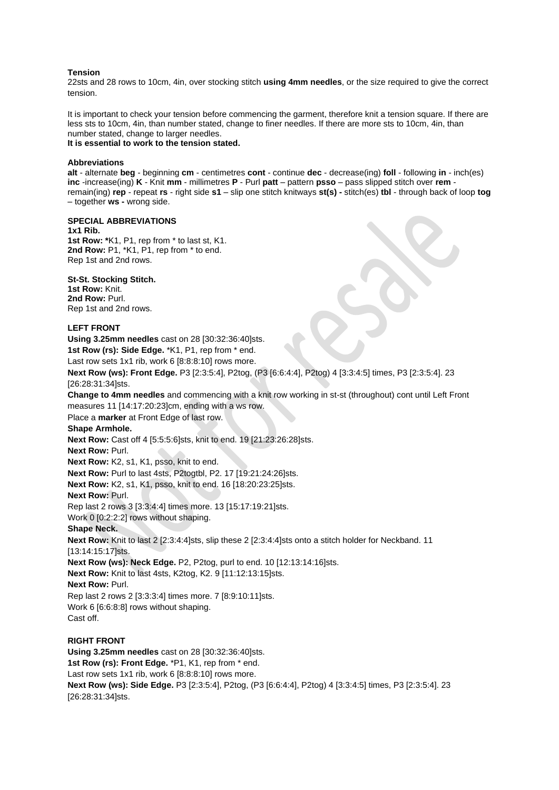#### **Tension**

22sts and 28 rows to 10cm, 4in, over stocking stitch **using 4mm needles**, or the size required to give the correct tension.

It is important to check your tension before commencing the garment, therefore knit a tension square. If there are less sts to 10cm, 4in, than number stated, change to finer needles. If there are more sts to 10cm, 4in, than number stated, change to larger needles. **It is essential to work to the tension stated.**

## **Abbreviations**

**alt** - alternate **beg** - beginning **cm** - centimetres **cont** - continue **dec** - decrease(ing) **foll** - following **in** - inch(es) **inc** -increase(ing) **K** - Knit **mm** - millimetres **P** - Purl **patt** – pattern **psso** – pass slipped stitch over **rem** remain(ing) **rep** - repeat **rs** - right side **s1** – slip one stitch knitways **st(s) -** stitch(es) **tbl** - through back of loop **tog** – together **ws -** wrong side.

#### **SPECIAL ABBREVIATIONS**

**1x1 Rib. 1st Row: \***K1, P1, rep from \* to last st, K1. 2nd Row: P1,  $*K1$ , P1, rep from  $*$  to end. Rep 1st and 2nd rows.

#### **St-St. Stocking Stitch.**

**1st Row:** Knit. 2nd Row: Purl. Rep 1st and 2nd rows.

#### **LEFT FRONT**

**Using 3.25mm needles** cast on 28 [30:32:36:40]sts.

**1st Row (rs): Side Edge.** \*K1, P1, rep from \* end.

Last row sets 1x1 rib, work 6 [8:8:8:10] rows more.

**Next Row (ws): Front Edge.** P3 [2:3:5:4], P2tog, (P3 [6:6:4:4], P2tog) 4 [3:3:4:5] times, P3 [2:3:5:4]. 23 [26:28:31:34]sts.

**Change to 4mm needles** and commencing with a knit row working in st-st (throughout) cont until Left Front measures 11 [14:17:20:23]cm, ending with a ws row.

Place a **marker** at Front Edge of last row.

**Shape Armhole.**

**Next Row:** Cast off 4 [5:5:5:6]sts, knit to end. 19 [21:23:26:28]sts.

**Next Row: Purl.** 

**Next Row:** K2, s1, K1, psso, knit to end.

**Next Row:** Purl to last 4sts, P2togtbl, P2. 17 [19:21:24:26]sts.

**Next Row:** K2, s1, K1, psso, knit to end. 16 [18:20:23:25]sts.

**Next Row:** Purl.

Rep last 2 rows 3 [3:3:4:4] times more. 13 [15:17:19:21]sts.

Work 0 [0:2:2:2] rows without shaping.

**Shape Neck.**

**Next Row:** Knit to last 2 [2:3:4:4]sts, slip these 2 [2:3:4:4]sts onto a stitch holder for Neckband. 11 [13:14:15:17]sts.

**Next Row (ws): Neck Edge.** P2, P2tog, purl to end. 10 [12:13:14:16]sts.

**Next Row:** Knit to last 4sts, K2tog, K2. 9 [11:12:13:15]sts.

**Next Row: Purl.** 

Rep last 2 rows 2 [3:3:3:4] times more. 7 [8:9:10:11]sts. Work 6 [6:6:8:8] rows without shaping.

Cast off.

## **RIGHT FRONT**

**Using 3.25mm needles** cast on 28 [30:32:36:40]sts. **1st Row (rs): Front Edge.** \*P1, K1, rep from \* end. Last row sets 1x1 rib, work 6 [8:8:8:10] rows more. **Next Row (ws): Side Edge.** P3 [2:3:5:4], P2tog, (P3 [6:6:4:4], P2tog) 4 [3:3:4:5] times, P3 [2:3:5:4]. 23 [26:28:31:34]sts.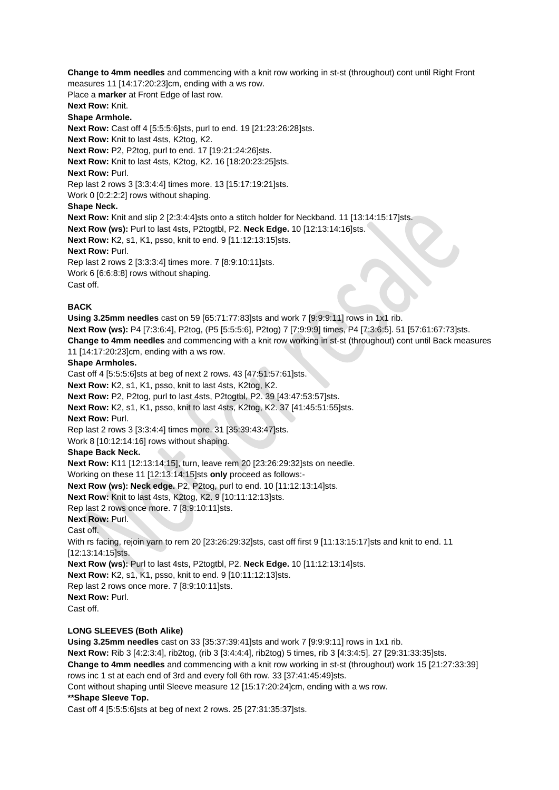**Change to 4mm needles** and commencing with a knit row working in st-st (throughout) cont until Right Front measures 11 [14:17:20:23]cm, ending with a ws row.

Place a **marker** at Front Edge of last row.

**Next Row:** Knit.

**Shape Armhole.**

**Next Row:** Cast off 4 [5:5:5:6]sts, purl to end. 19 [21:23:26:28]sts.

**Next Row:** Knit to last 4sts, K2tog, K2.

**Next Row:** P2, P2tog, purl to end. 17 [19:21:24:26]sts.

**Next Row:** Knit to last 4sts, K2tog, K2. 16 [18:20:23:25]sts.

**Next Row: Purl.** 

Rep last 2 rows 3 [3:3:4:4] times more. 13 [15:17:19:21]sts.

Work 0 [0:2:2:2] rows without shaping.

**Shape Neck.**

**Next Row:** Knit and slip 2 [2:3:4:4]sts onto a stitch holder for Neckband. 11 [13:14:15:17]sts.

**Next Row (ws):** Purl to last 4sts, P2togtbl, P2. **Neck Edge.** 10 [12:13:14:16]sts.

**Next Row:** K2, s1, K1, psso, knit to end. 9 [11:12:13:15]sts.

**Next Row: Purl.** 

Rep last 2 rows 2 [3:3:3:4] times more. 7 [8:9:10:11]sts.

Work 6 [6:6:8:8] rows without shaping.

Cast off.

## **BACK**

**Using 3.25mm needles** cast on 59 [65:71:77:83]sts and work 7 [9:9:9:11] rows in 1x1 rib. **Next Row (ws):** P4 [7:3:6:4], P2tog, (P5 [5:5:5:6], P2tog) 7 [7:9:9:9] times, P4 [7:3:6:5]. 51 [57:61:67:73]sts. **Change to 4mm needles** and commencing with a knit row working in st-st (throughout) cont until Back measures 11 [14:17:20:23]cm, ending with a ws row.

## **Shape Armholes.**

Cast off 4 [5:5:5:6]sts at beg of next 2 rows. 43 [47:51:57:61]sts. **Next Row:** K2, s1, K1, psso, knit to last 4sts, K2tog, K2. **Next Row:** P2, P2tog, purl to last 4sts, P2togtbl, P2. 39 [43:47:53:57]sts. **Next Row:** K2, s1, K1, psso, knit to last 4sts, K2tog, K2. 37 [41:45:51:55]sts. **Next Row: Purl.** Rep last 2 rows 3 [3:3:4:4] times more. 31 [35:39:43:47]sts. Work 8 [10:12:14:16] rows without shaping. **Shape Back Neck. Next Row:** K11 [12:13:14:15], turn, leave rem 20 [23:26:29:32]sts on needle. Working on these 11 [12:13:14:15]sts **only** proceed as follows:- **Next Row (ws): Neck edge.** P2, P2tog, purl to end. 10 [11:12:13:14]sts. **Next Row:** Knit to last 4sts, K2tog, K2. 9 [10:11:12:13]sts. Rep last 2 rows once more. 7 [8:9:10:11]sts. **Next Row: Purl.** Cast off. With rs facing, rejoin yarn to rem 20 [23:26:29:32]sts, cast off first 9 [11:13:15:17]sts and knit to end. 11 [12:13:14:15]sts. **Next Row (ws):** Purl to last 4sts, P2togtbl, P2. **Neck Edge.** 10 [11:12:13:14]sts. **Next Row:** K2, s1, K1, psso, knit to end. 9 [10:11:12:13]sts. Rep last 2 rows once more. 7 [8:9:10:11]sts. **Next Row: Purl.** Cast off.

## **LONG SLEEVES (Both Alike)**

**Using 3.25mm needles** cast on 33 [35:37:39:41]sts and work 7 [9:9:9:11] rows in 1x1 rib. **Next Row:** Rib 3 [4:2:3:4], rib2tog, (rib 3 [3:4:4:4], rib2tog) 5 times, rib 3 [4:3:4:5]. 27 [29:31:33:35]sts. **Change to 4mm needles** and commencing with a knit row working in st-st (throughout) work 15 [21:27:33:39] rows inc 1 st at each end of 3rd and every foll 6th row. 33 [37:41:45:49]sts. Cont without shaping until Sleeve measure 12 [15:17:20:24]cm, ending with a ws row. **\*\*Shape Sleeve Top.** Cast off 4 [5:5:5:6]sts at beg of next 2 rows. 25 [27:31:35:37]sts.